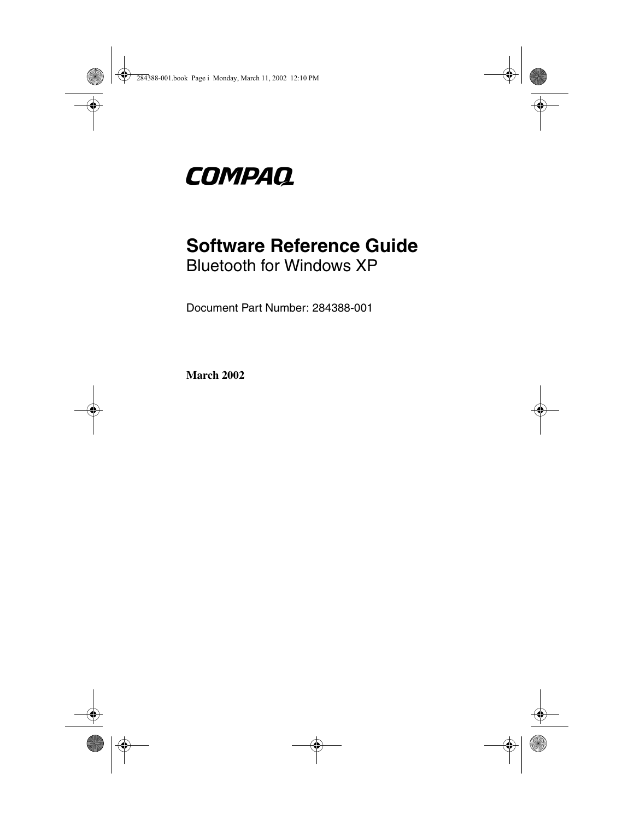

## **Software Reference Guide** Bluetooth for Windows XP

Document Part Number: 284388-001

**March 2002**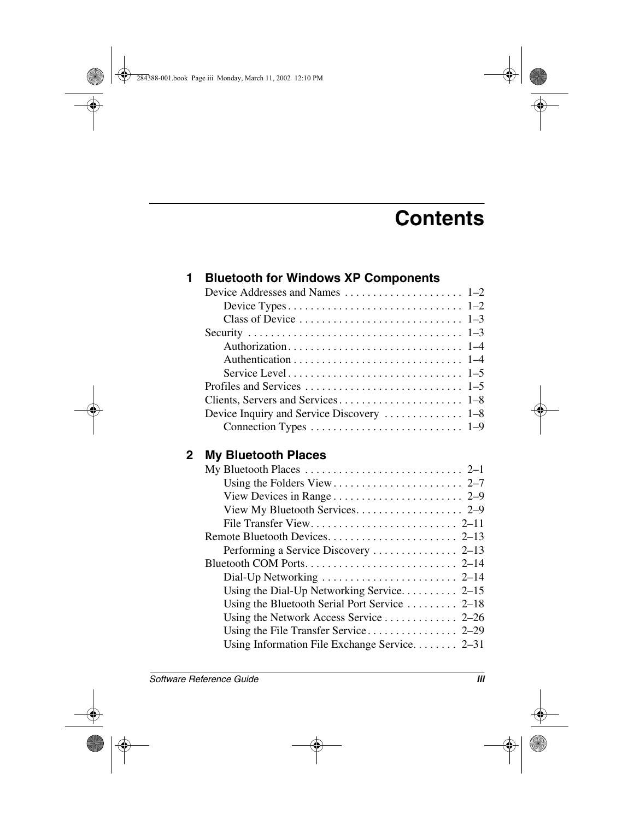# **Contents**

| 1 | <b>Bluetooth for Windows XP Components</b>     |
|---|------------------------------------------------|
|   |                                                |
|   |                                                |
|   |                                                |
|   |                                                |
|   |                                                |
|   |                                                |
|   |                                                |
|   |                                                |
|   |                                                |
|   | Device Inquiry and Service Discovery  1-8      |
|   |                                                |
| 2 | <b>My Bluetooth Places</b>                     |
|   |                                                |
|   |                                                |
|   |                                                |
|   | View My Bluetooth Services. 2-9                |
|   |                                                |
|   |                                                |
|   |                                                |
|   |                                                |
|   |                                                |
|   | Using the Dial-Up Networking Service 2-15      |
|   | Using the Bluetooth Serial Port Service  2–18  |
|   |                                                |
|   |                                                |
|   | Using Information File Exchange Service $2-31$ |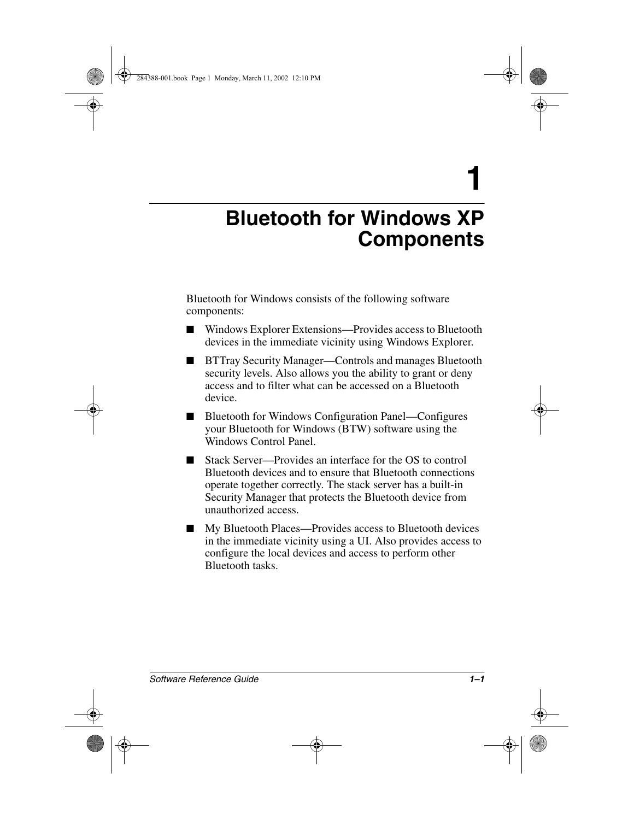<span id="page-2-3"></span>**1**

# <span id="page-2-1"></span><span id="page-2-0"></span>**Bluetooth for Windows XP Components**

Bluetooth for Windows consists of the following software components:

- Windows Explorer Extensions—Provides access to Bluetooth devices in the immediate vicinity using Windows Explorer.
- BTTray Security Manager—Controls and manages Bluetooth security levels. Also allows you the ability to grant or deny access and to filter what can be accessed on a Bluetooth device.
- <span id="page-2-2"></span>■ Bluetooth for Windows Configuration Panel—Configures your Bluetooth for Windows (BTW) software using the Windows Control Panel.
- Stack Server—Provides an interface for the OS to control Bluetooth devices and to ensure that Bluetooth connections operate together correctly. The stack server has a built-in Security Manager that protects the Bluetooth device from unauthorized access.
- My Bluetooth Places—Provides access to Bluetooth devices in the immediate vicinity using a UI. Also provides access to configure the local devices and access to perform other Bluetooth tasks.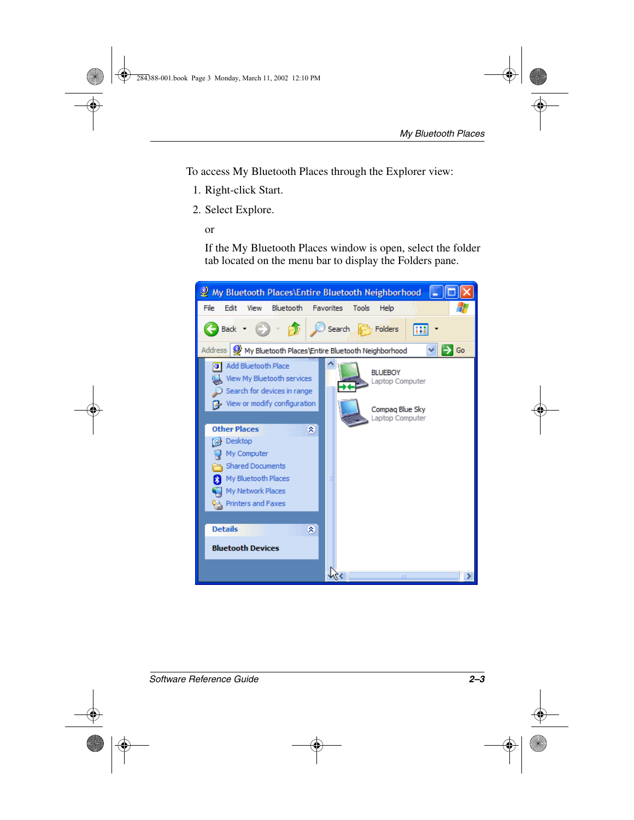<span id="page-3-0"></span>To access My Bluetooth Places through the Explorer view:

- 1. Right-click Start.
- 2. Select Explore.
	- or

If the My Bluetooth Places window is open, select the folder tab located on the menu bar to display the Folders pane.

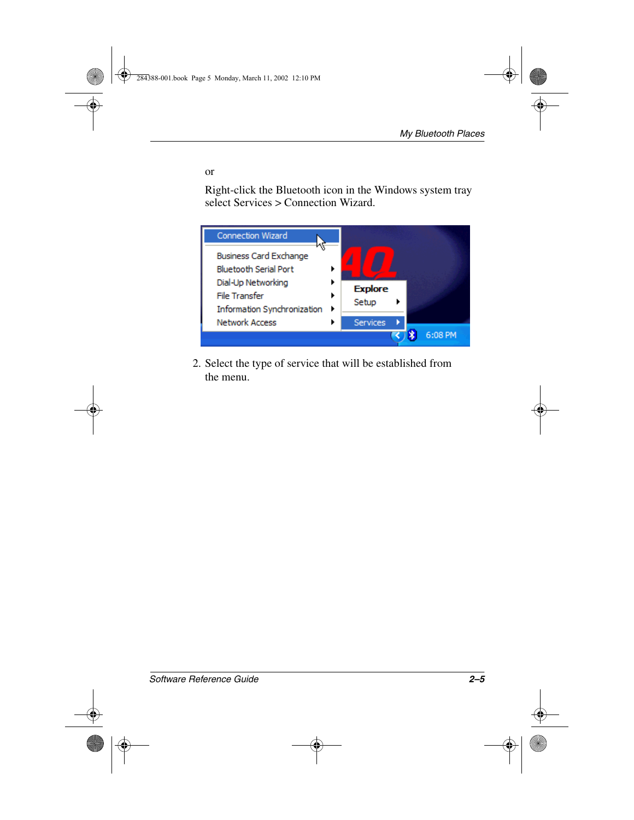or

Right-click the Bluetooth icon in the Windows system tray select Services > Connection Wizard.



2. Select the type of service that will be established from the menu.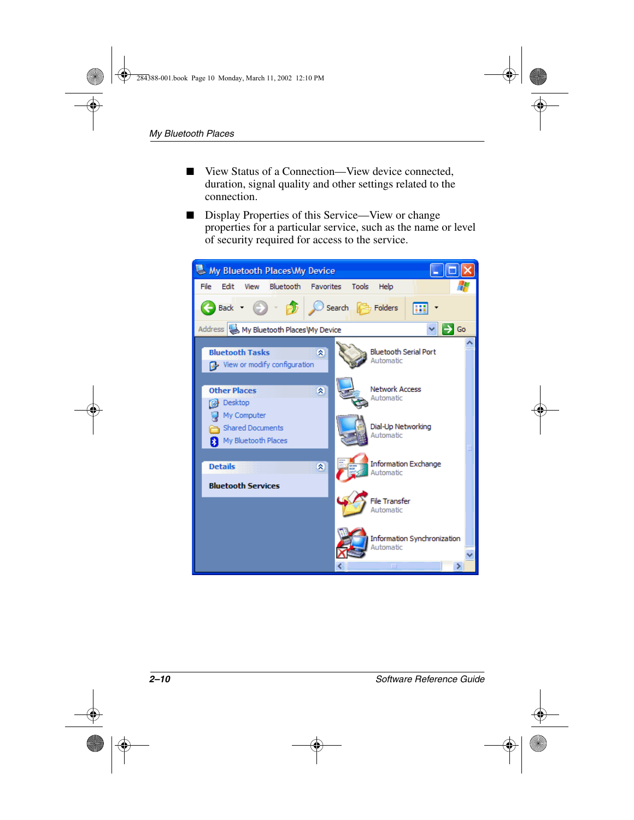- <span id="page-5-0"></span>■ View Status of a Connection—View device connected, duration, signal quality and other settings related to the connection.
- <span id="page-5-1"></span>Display Properties of this Service—View or change properties for a particular service, such as the name or level of security required for access to the service.

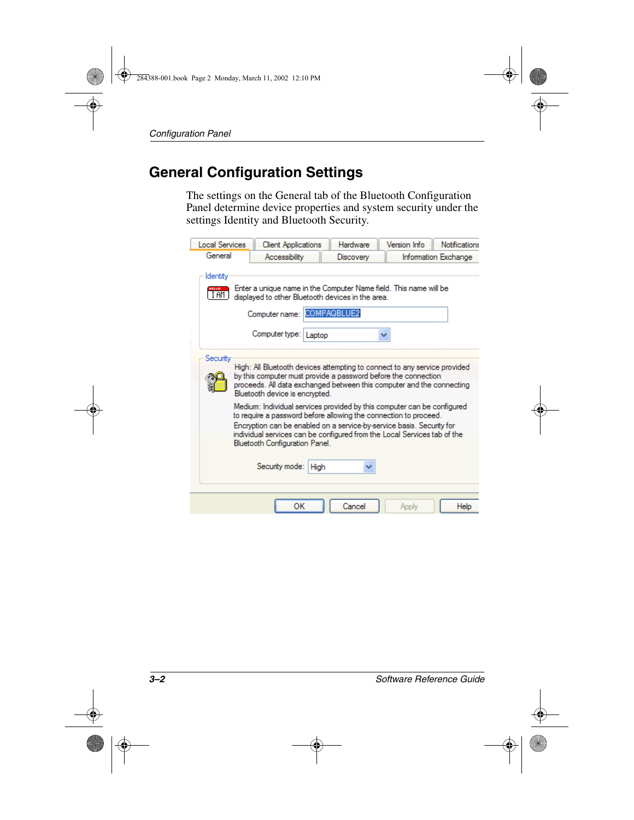#### **General Configuration Settings**

<span id="page-6-0"></span>The settings on the General tab of the Bluetooth Configuration Panel determine device properties and system security under the settings Identity and Bluetooth Security.

| <b>Local Services</b>                                                                                                                               |                                                                                                                                                                                                                                                                                                                                    | <b>Client Applications</b> |      | Hardware         | Version Info | <b>Notifications</b> |  |
|-----------------------------------------------------------------------------------------------------------------------------------------------------|------------------------------------------------------------------------------------------------------------------------------------------------------------------------------------------------------------------------------------------------------------------------------------------------------------------------------------|----------------------------|------|------------------|--------------|----------------------|--|
| General                                                                                                                                             |                                                                                                                                                                                                                                                                                                                                    | Accessibility              |      | <b>Discovery</b> |              | Information Exchange |  |
| Identity<br>Enter a unique name in the Computer Name field. This name will be<br>HELLD<br>I AM<br>displayed to other Bluetooth devices in the area. |                                                                                                                                                                                                                                                                                                                                    |                            |      |                  |              |                      |  |
|                                                                                                                                                     | Computer name: COMPAQBLUE2                                                                                                                                                                                                                                                                                                         |                            |      |                  |              |                      |  |
|                                                                                                                                                     |                                                                                                                                                                                                                                                                                                                                    | Computer type:   Laptop    |      |                  |              |                      |  |
| Security                                                                                                                                            | High: All Bluetooth devices attempting to connect to any service provided<br>by this computer must provide a password before the connection<br>proceeds. All data exchanged between this computer and the connecting<br>Bluetooth device is encrypted.                                                                             |                            |      |                  |              |                      |  |
|                                                                                                                                                     | Medium: Individual services provided by this computer can be configured<br>to require a password before allowing the connection to proceed.<br>Encryption can be enabled on a service-by-service basis. Security for<br>individual services can be configured from the Local Services tab of the<br>Bluetooth Configuration Panel. |                            |      |                  |              |                      |  |
|                                                                                                                                                     |                                                                                                                                                                                                                                                                                                                                    | Security mode:             | High |                  |              |                      |  |
|                                                                                                                                                     |                                                                                                                                                                                                                                                                                                                                    | ОК                         |      | Cancel           | Apply        | Help                 |  |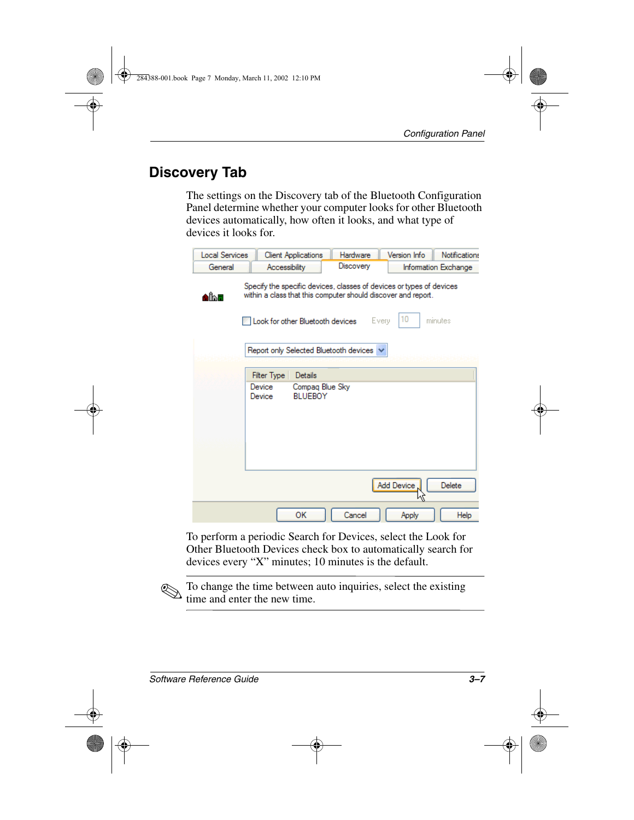### **Discovery Tab**

<span id="page-7-0"></span>The settings on the Discovery tab of the Bluetooth Configuration Panel determine whether your computer looks for other Bluetooth devices automatically, how often it looks, and what type of devices it looks for.

<span id="page-7-1"></span>

| <b>Local Services</b> | <b>Client Applications</b>                                                                                                            |                                   | <b>Hardware</b>  | Version Info | <b>Notifications</b> |  |  |
|-----------------------|---------------------------------------------------------------------------------------------------------------------------------------|-----------------------------------|------------------|--------------|----------------------|--|--|
| General               |                                                                                                                                       | Accessibility                     | <b>Discovery</b> |              | Information Exchange |  |  |
| Albu                  | Specify the specific devices, classes of devices or types of devices<br>within a class that this computer should discover and report. |                                   |                  |              |                      |  |  |
|                       |                                                                                                                                       | Look for other Bluetooth devices  |                  | 10<br>Every  | minutes              |  |  |
|                       | Report only Selected Bluetooth devices v                                                                                              |                                   |                  |              |                      |  |  |
|                       | Filter Type<br>Details                                                                                                                |                                   |                  |              |                      |  |  |
|                       | Device<br>Device                                                                                                                      | Compag Blue Sky<br><b>BLUEBOY</b> |                  |              |                      |  |  |
|                       |                                                                                                                                       |                                   |                  | Add Device   | <b>Delete</b>        |  |  |
|                       |                                                                                                                                       | OK                                | Cancel           | Apply        | Help                 |  |  |

To perform a periodic Search for Devices, select the Look for Other Bluetooth Devices check box to automatically search for devices every "X" minutes; 10 minutes is the default.

✎To change the time between auto inquiries, select the existing time and enter the new time.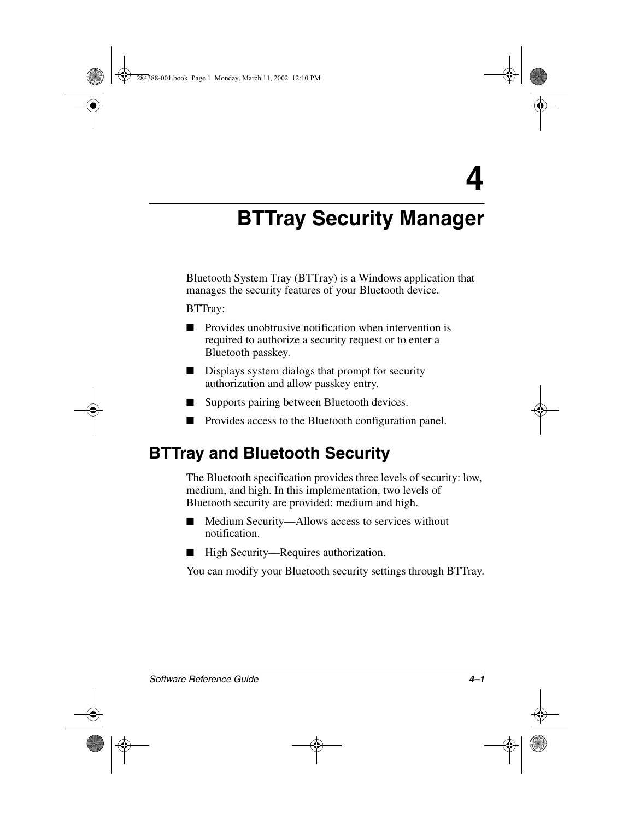# **BTTray Security Manager**

Bluetooth System Tray (BTTray) is a Windows application that manages the security features of your Bluetooth device.

BTTray:

- Provides unobtrusive notification when intervention is required to authorize a security request or to enter a Bluetooth passkey.
- Displays system dialogs that prompt for security authorization and allow passkey entry.
- Supports pairing between Bluetooth devices.
- Provides access to the Bluetooth configuration panel.

## **BTTray and Bluetooth Security**

The Bluetooth specification provides three levels of security: low, medium, and high. In this implementation, two levels of Bluetooth security are provided: medium and high.

- Medium Security—Allows access to services without notification.
- High Security—Requires authorization.

You can modify your Bluetooth security settings through BTTray.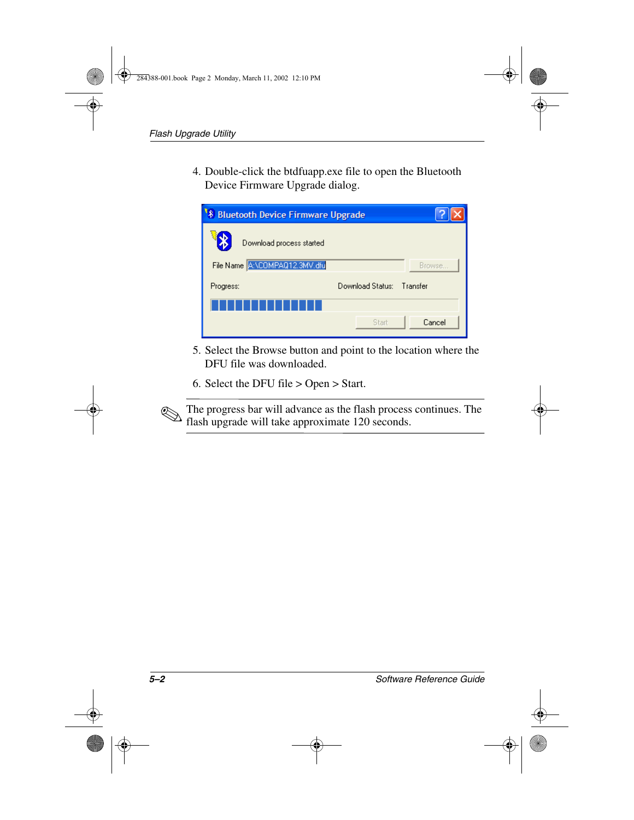4. Double-click the btdfuapp.exe file to open the Bluetooth Device Firmware Upgrade dialog.

| <b>8 Bluetooth Device Firmware Upgrade</b> |                               |                           |        |  |  |  |  |
|--------------------------------------------|-------------------------------|---------------------------|--------|--|--|--|--|
|                                            | Download process started      |                           |        |  |  |  |  |
|                                            | File Name A:\COMPAQ12.3MV.dfu |                           | Browse |  |  |  |  |
| Progress:                                  |                               | Download Status: Transfer |        |  |  |  |  |
|                                            |                               |                           |        |  |  |  |  |
|                                            |                               | Start                     | Cancel |  |  |  |  |

- 5. Select the Browse button and point to the location where the DFU file was downloaded.
- 6. Select the DFU file > Open > Start.

The progress bar will advance as the flash process continues. The metal of  $120$  seconds flash upgrade will take approximate 120 seconds.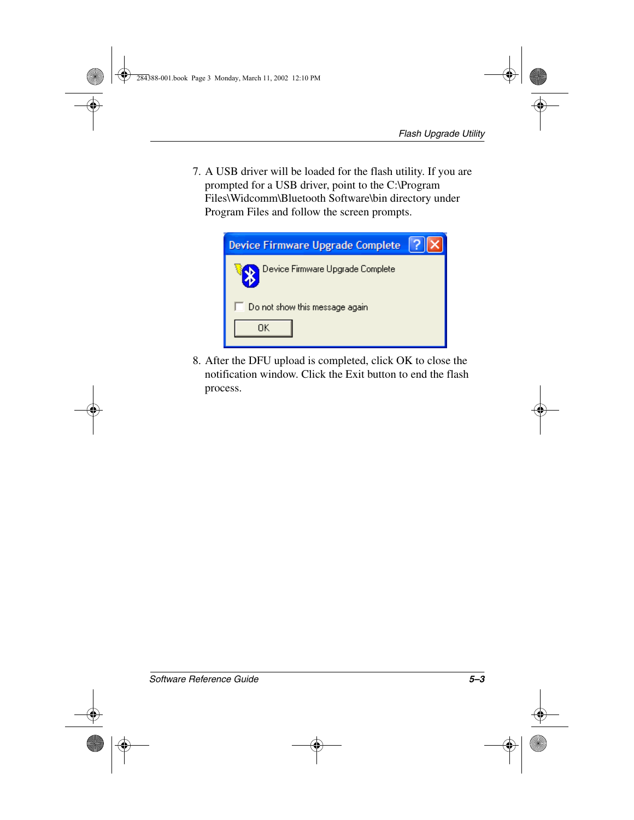7. A USB driver will be loaded for the flash utility. If you are prompted for a USB driver, point to the C:\Program Files\Widcomm\Bluetooth Software\bin directory under Program Files and follow the screen prompts.



8. After the DFU upload is completed, click OK to close the notification window. Click the Exit button to end the flash process.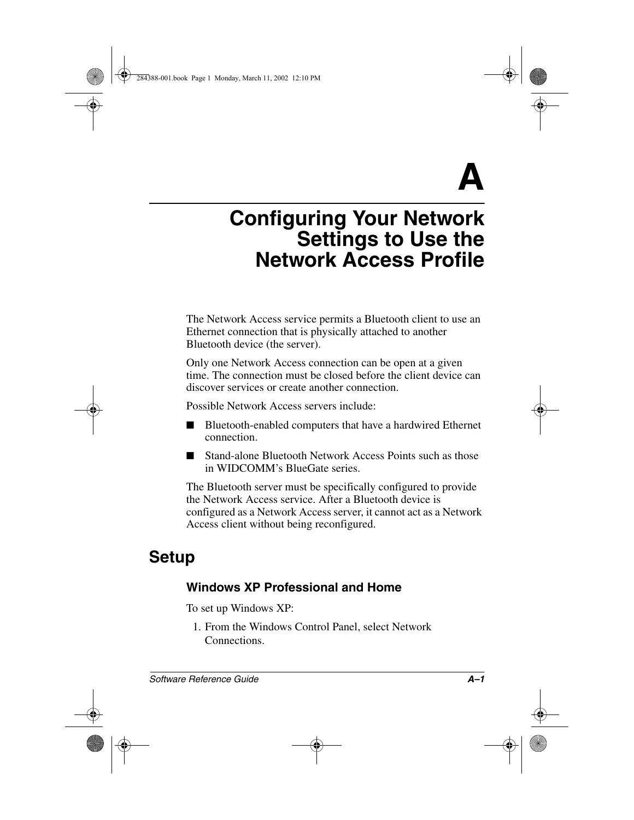<span id="page-11-0"></span>**A**

# **Configuring Your Network Settings to Use the Network Access Profile**

The Network Access service permits a Bluetooth client to use an Ethernet connection that is physically attached to another Bluetooth device (the server).

Only one Network Access connection can be open at a given time. The connection must be closed before the client device can discover services or create another connection.

Possible Network Access servers include:

- Bluetooth-enabled computers that have a hardwired Ethernet connection.
- Stand-alone Bluetooth Network Access Points such as those in WIDCOMM's BlueGate series.

The Bluetooth server must be specifically configured to provide the Network Access service. After a Bluetooth device is configured as a Network Access server, it cannot act as a Network Access client without being reconfigured.

## **Setup**

#### **Windows XP Professional and Home**

To set up Windows XP:

1. From the Windows Control Panel, select Network Connections.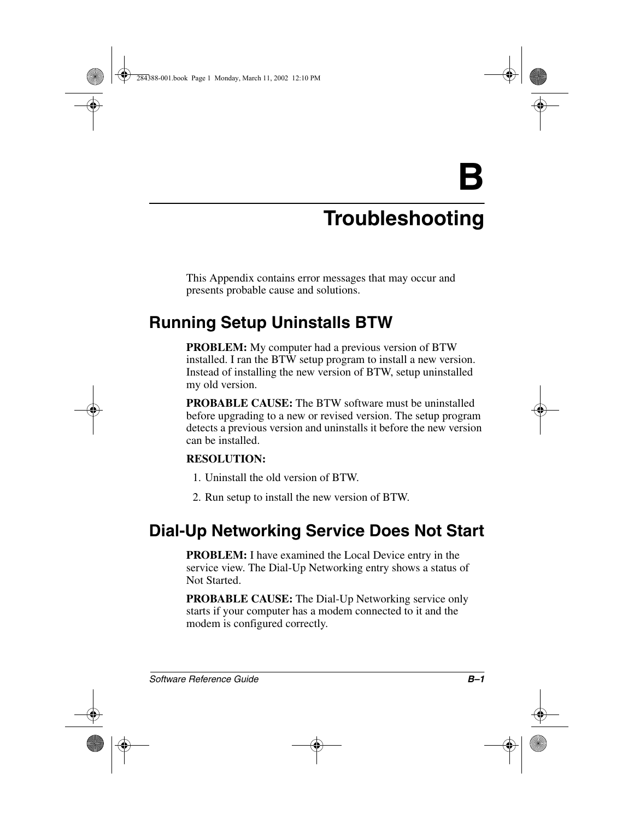**B**

# **Troubleshooting**

This Appendix contains error messages that may occur and presents probable cause and solutions.

## **Running Setup Uninstalls BTW**

**PROBLEM:** My computer had a previous version of BTW installed. I ran the BTW setup program to install a new version. Instead of installing the new version of BTW, setup uninstalled my old version.

**PROBABLE CAUSE:** The BTW software must be uninstalled before upgrading to a new or revised version. The setup program detects a previous version and uninstalls it before the new version can be installed.

#### **RESOLUTION:**

- 1. Uninstall the old version of BTW.
- 2. Run setup to install the new version of BTW.

## **Dial-Up Networking Service Does Not Start**

<span id="page-12-0"></span>**PROBLEM:** I have examined the Local Device entry in the service view. The Dial-Up Networking entry shows a status of Not Started.

**PROBABLE CAUSE:** The Dial-Up Networking service only starts if your computer has a modem connected to it and the modem is configured correctly.